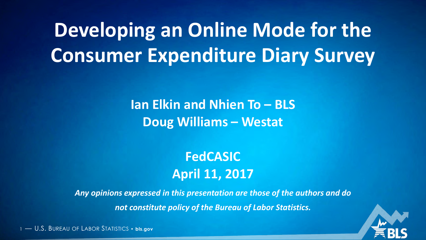## **Developing an Online Mode for the Consumer Expenditure Diary Survey**

**Ian Elkin and Nhien To – BLS Doug Williams – Westat**

> **FedCASIC April 11, 2017**

*Any opinions expressed in this presentation are those of the authors and do not constitute policy of the Bureau of Labor Statistics.*

1 — U.S. BUREAU OF LABOR STATISTICS • **bls.gov**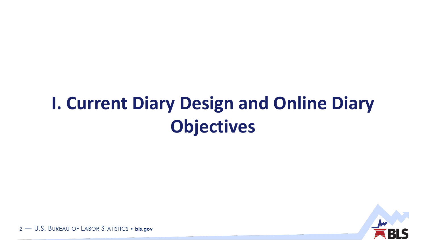## **I. Current Diary Design and Online Diary Objectives**



2 - U.S. BUREAU OF LABOR STATISTICS . bls.gov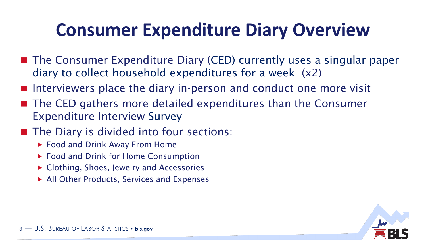## **Consumer Expenditure Diary Overview**

- The Consumer Expenditure Diary (CED) currently uses a singular paper diary to collect household expenditures for a week (x2)
- Interviewers place the diary in-person and conduct one more visit
- The CED gathers more detailed expenditures than the Consumer Expenditure Interview Survey
- The Diary is divided into four sections:
	- ▶ Food and Drink Away From Home
	- ▶ Food and Drink for Home Consumption
	- ▶ Clothing, Shoes, Jewelry and Accessories
	- ▶ All Other Products, Services and Expenses

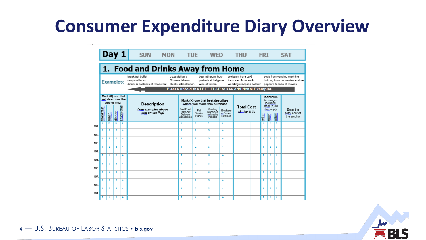## **Consumer Expenditure Diary Overview**





4 - U.S. BUREAU OF LABOR STATISTICS • bls.gov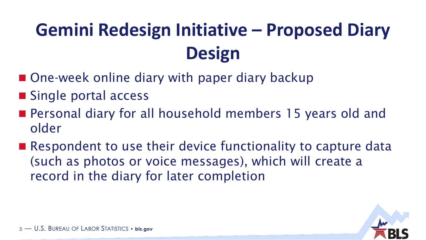# **Gemini Redesign Initiative – Proposed Diary Design**

- One-week online diary with paper diary backup
- Single portal access
- Personal diary for all household members 15 years old and older
- Respondent to use their device functionality to capture data (such as photos or voice messages), which will create a record in the diary for later completion

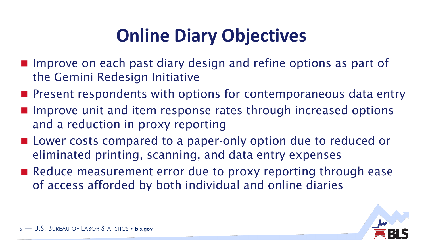## **Online Diary Objectives**

- **Improve on each past diary design and refine options as part of** the Gemini Redesign Initiative
- **Present respondents with options for contemporaneous data entry**
- **Improve unit and item response rates through increased options** and a reduction in proxy reporting
- **Lower costs compared to a paper-only option due to reduced or** eliminated printing, scanning, and data entry expenses
- Reduce measurement error due to proxy reporting through ease of access afforded by both individual and online diaries

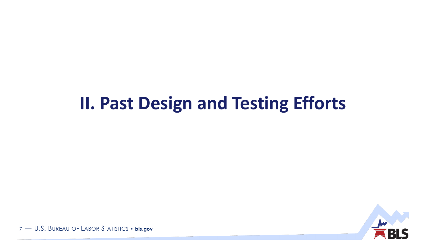#### **II. Past Design and Testing Efforts**



7 - U.S. BUREAU OF LABOR STATISTICS . bls.gov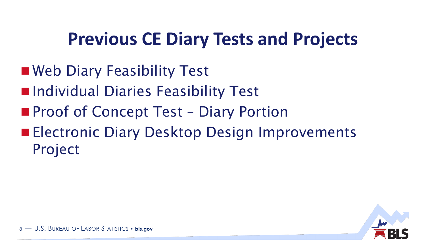## **Previous CE Diary Tests and Projects**

- Web Diary Feasibility Test
- $\blacksquare$  Individual Diaries Feasibility Test
- **Proof of Concept Test Diary Portion**
- **Electronic Diary Desktop Design Improvements** Project

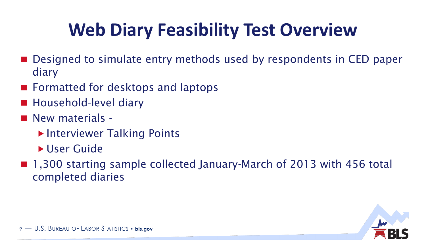## **Web Diary Feasibility Test Overview**

- Designed to simulate entry methods used by respondents in CED paper diary
- Formatted for desktops and laptops
- Household-level diary
- New materials -
	- ▶ Interviewer Talking Points
	- ▶ User Guide
- 1,300 starting sample collected January-March of 2013 with 456 total completed diaries

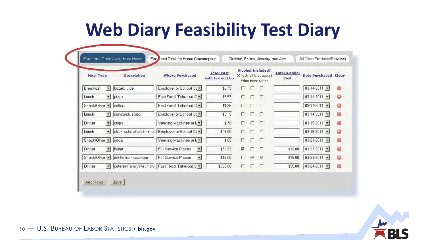## **Web Diary Feasibility Test Diary**

| <b>Meal Type</b>   |                          | <b>Description</b>   | <b>Where Purchased</b>                                 | <b>Total Cost</b><br>with tax and tip |                         |                 | <b>Alcohol Included?</b><br>(Check all that apply)<br>Wine Beer Other | <b>Total Alcohol</b><br>Cost | <b>Date Purchased Clear</b> |   |
|--------------------|--------------------------|----------------------|--------------------------------------------------------|---------------------------------------|-------------------------|-----------------|-----------------------------------------------------------------------|------------------------------|-----------------------------|---|
| Breakfast          | $\overline{\phantom{a}}$ | bagel, juice         | Employer or School Ce *                                | \$2.79                                | г.                      | E               | Æ                                                                     |                              | $03-14-2011 =$              | Θ |
| Lunch              | $\overline{\phantom{a}}$ | pizza                | Fast Food, Take-out C =                                | \$5.57                                | $\Box$                  | $\Box$          | ┍                                                                     |                              | $03-14-2011$ $\star$        | 8 |
| Snack/Other -      |                          | coffee               | Fast Food, Take-out C =                                | \$1.35                                |                         | <b>DEE</b>      |                                                                       |                              | $03-14-2011$ -              | Θ |
| Lunch              | $\overline{\phantom{a}}$ | sandwich, soda       | Employer or School Ce -                                | \$5.15                                | $\Box$                  | <b>FF</b>       |                                                                       |                              | $03-14-2011$ $\rightarrow$  | B |
| Dinner             | $\overline{\phantom{a}}$ | chips                | Vending Machines or N =                                | \$.70                                 | $\Box$                  | E               | <b>Г</b>                                                              |                              | $03-15-2011$ -              | 8 |
| Lunch              | $\overline{\mathbf{r}}$  |                      | elem. school lunch - mot Employer or School Ce +       | \$45.00                               | $\Gamma$                | F.              | ┍                                                                     |                              | $03 - 15 - 2011 =$          | Θ |
| Snack/Other - soda |                          |                      | Vending Machines or N =                                | \$.65                                 | $\Box$                  | E               | <b>F</b>                                                              |                              | $03 - 21 - 2011$ $\star$    | Θ |
| Dinner             | $\left  \cdot \right $   | buffet               | Full Service Places                                    | \$62.23                               | $\overline{\mathbf{v}}$ | л               | $\sqrt{2}$                                                            | \$12.00                      | $03 - 23 - 2011$ -          | Θ |
| Snack/Other -      |                          | drinks from cash bar | <b>Full Service Places</b><br>$\overline{\phantom{a}}$ | \$15.00                               | г                       | $\triangledown$ | ⊽                                                                     | \$15.00                      | $03 - 23 - 2011$ $\star$    | Θ |
| <b>Dinner</b>      | $\overline{\phantom{a}}$ |                      | caterer-Family Reunion   Fast Food, Take-out C =       | \$350.00                              | г                       | г               | F                                                                     | \$95.00                      | $03 - 24 - 2011$ $\sim$     | 0 |



10 - U.S. BUREAU OF LABOR STATISTICS . bls.gov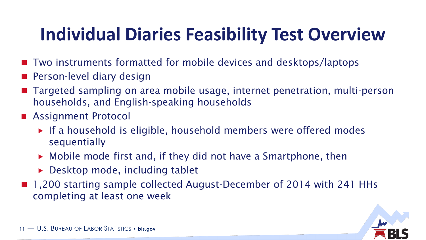## **Individual Diaries Feasibility Test Overview**

- Two instruments formatted for mobile devices and desktops/laptops
- **Person-level diary design**
- Targeted sampling on area mobile usage, internet penetration, multi-person households, and English-speaking households
- **Assignment Protocol** 
	- ▶ If a household is eligible, household members were offered modes sequentially
	- Mobile mode first and, if they did not have a Smartphone, then
	- ▶ Desktop mode, including tablet
- 1,200 starting sample collected August-December of 2014 with 241 HHs completing at least one week

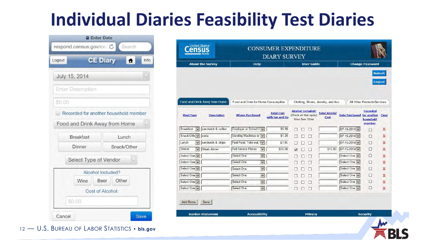## **Individual Diaries Feasibility Test Diaries**

|               | <b>A Enter Date</b>                   |                   |             |      |
|---------------|---------------------------------------|-------------------|-------------|------|
|               | respond.census.gov/ce C Search        |                   |             |      |
| Logout        |                                       | <b>CE Diary</b>   | Ħ           | Info |
| July 15, 2014 |                                       |                   |             |      |
|               | <b>Enter Description</b>              |                   |             |      |
| \$0.00        |                                       |                   |             |      |
|               | Recorded for another household member |                   |             |      |
|               | Food and Drink Away from Home         |                   |             |      |
|               | <b>Breakfast</b>                      |                   | Lunch       |      |
|               | Dinner                                |                   | Snack/Other |      |
|               | Select Type of Vendor                 |                   |             |      |
|               |                                       | Alcohol Included? |             |      |
|               | Wine                                  | Other<br>Beer     |             |      |
|               |                                       | Cost of Alcohol:  |             |      |
|               |                                       |                   |             |      |

**Census CONSUMER EXPENDITURE DIARY SURVEY About the Survey Help User Guide Change Password** Submit **Logout** Food and Drink Away from Home Food and Drink for Home Consumption Clothing, Shoes, Jewelry, and Acc. All Other Products/Services **Alcohol Included? Recorded Total Alcohol Total Cost** (Check all that apply) **Date Purchased for another Meal Type Description Where Purchased** Clear with tax and tip Cost household Wine Beer Other member Breakfast v sandwich & coffee \$5.98 Employer or School C 000  $07-15-2014$   $\vee$ ×  $\Box$ Snack/Othe v soda Vending Machines or  $\vert \mathbf{v} \vert$  $$1.25$  $\Box$   $\Box$   $\Box$  $07-15-2014$ ×  $\Box$  $\vee$  sandwich & chips Lunch Fast Food, Take-out, (v)  $07-15-2014$   $\vee$  $\Box$ × \$7.95  $\Box$   $\Box$   $\Box$   $\Box$  $\sqrt{\phantom{a}}$  Steak dinner **Full Service Places**  $\Box$ Dinner  $\vert \mathbf{v} \vert$ \$55.00 2 □ □ \$15.00  $07-15-2014$ ×  $\overline{\mathbf{v}}$ Select One Select One Select One v □ ×  $\Box$   $\Box$   $\Box$  $\vert \vee \vert$ Select One V Select One V Select One  $\Box$   $\Box$   $\Box$  $\Box$ ×  $\overline{\mathbf{v}}$ Select One V Select One v Select One **000** □ ×  $\vert$   $\vert$ Select One v Select One Select One v □ × 000  $\overline{\mathbf{v}}$ Select One □ Select One V Select One ×  $\Box$   $\Box$  $\Box$ Select One v Select One  $\overline{\mathbf{v}}$ Select One  $\Box$  $\mathbf x$  $\Box$   $\Box$   $\Box$ Save Add Rows **Burden Statement Accessibility** Privacy **Security** 

12 — U.S. BUREAU OF LABOR STATISTICS • **bls.gov**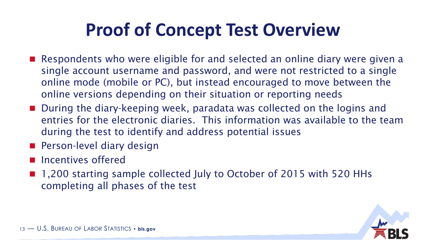## **Proof of Concept Test Overview**

- Respondents who were eligible for and selected an online diary were given a single account username and password, and were not restricted to a single online mode (mobile or PC), but instead encouraged to move between the online versions depending on their situation or reporting needs
- During the diary-keeping week, paradata was collected on the logins and entries for the electronic diaries. This information was available to the team during the test to identify and address potential issues
- **Person-level diary design**
- **Incentives offered**
- 1,200 starting sample collected July to October of 2015 with 520 HHs completing all phases of the test

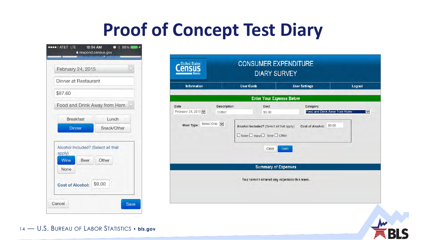## **Proof of Concept Test Diary**

| February 24, 2015                                         |                 |  |
|-----------------------------------------------------------|-----------------|--|
| Dinner at Restaurant                                      |                 |  |
|                                                           |                 |  |
| \$87.60                                                   |                 |  |
| Food and Drink Away from Hom                              |                 |  |
| <b>Breakfast</b>                                          | Lunch           |  |
| <b>Dinner</b>                                             | Snack/Other     |  |
| Alcohol Included? (Select all that                        |                 |  |
| apply)<br>Wine<br>Beer<br>None<br><b>Cost of Alcohol:</b> | Other<br>\$9.00 |  |

| Information               |                       | <b>User Guide</b>                                                                                         | <b>User Settings</b>                      | Logout               |
|---------------------------|-----------------------|-----------------------------------------------------------------------------------------------------------|-------------------------------------------|----------------------|
|                           |                       | <b>Enter Your Expense Below</b>                                                                           |                                           |                      |
| Date<br>February 24, 2015 | Description<br>Coffee | Cost<br>\$3.00                                                                                            | Category<br>Food and Drink Away from Home | $\blacktriangledown$ |
| Select One<br>Meal Type:  |                       | Alcohol Included? (Select all that apply)<br>$\square$ None $\square$ wine $\square$ Beer $\square$ Other | \$0.00<br><b>Cost of Alcohol:</b>         |                      |
|                           |                       | Clear                                                                                                     | <b>Save</b>                               |                      |
|                           |                       | <b>Summary of Expenses</b>                                                                                |                                           |                      |

14 - U.S. BUREAU OF LABOR STATISTICS • bls.gov

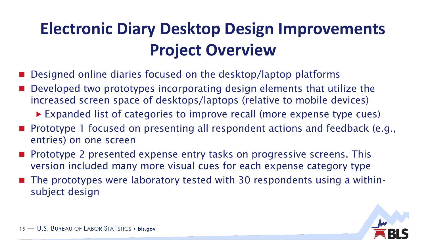## **Electronic Diary Desktop Design Improvements Project Overview**

- Designed online diaries focused on the desktop/laptop platforms
- Developed two prototypes incorporating design elements that utilize the increased screen space of desktops/laptops (relative to mobile devices)
	- Expanded list of categories to improve recall (more expense type cues)
- Prototype 1 focused on presenting all respondent actions and feedback (e.g., entries) on one screen
- **Prototype 2 presented expense entry tasks on progressive screens. This** version included many more visual cues for each expense category type
- $\blacksquare$  The prototypes were laboratory tested with 30 respondents using a withinsubject design

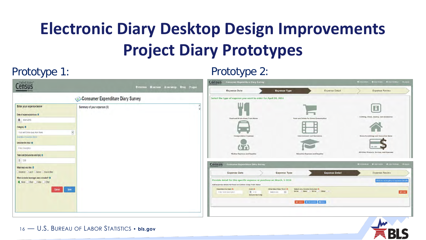## **Electronic Diary Desktop Design Improvements Project Diary Prototypes**

#### **Census Consumer Expenditure Diary Survey Census** Oinformation User Guide Luser Settings O Help G Logout **Expense Type** Expense Detail **Expense Date** Expense Review Consumer Expenditure Diary Survey Select the type of expense you want to enter for April 10, 2016 Enter your expence below Summary of your expenses (0) Date of expense/purchase O Clothing, Shoes, Jewelry, and Accesse Food and Drinks Away From Hor Food and Drinks For Home Consumpt 篇 03/01/2016 Category O Food and Drinks Away from Home  $\vee$ ent and Recreati ome Furnishings and Decorative Item Examples of expense details Describe the meal O **Enter Description** All Other Products, Services, and Expenses **Medical Expenses and Supplies Education Expenses and Supplies** Total cost (Include tax and tips) 0 \$ 0.00 **Census** Consumer Expenditure Diary Survey **O** Information **O** User Guide **O** User Settings (+Lo) What meal was this 0 Breakfast D Lunch C Dinner @ Snack/Other **Expense Date Expense Type Expense Detail Expense Review** What alcoholic beverages were included? 8 Provide detail for this specific expense or purchase on March, 5 2016 lick for examples of expense None Beer Wine Other Add expense details for Food and Drinks Away From Home Save Describe the meal O Cost O What Meal Was This? Select Any Alcohol Included & Beer Wine Other  $C$  Clear \$ 0.00 Enter brief description Selectione  $\sim$ Include tax & tip ◎ Cancel + Add another 图 Saw

#### Prototype 1: Prototype 2:



16 — U.S. BUREAU OF LABOR STATISTICS • **bls.gov**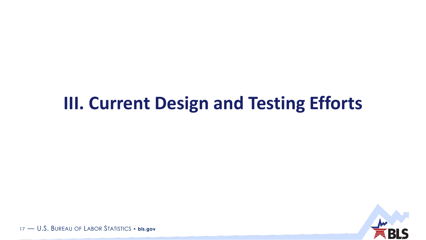#### **III. Current Design and Testing Efforts**



17 - U.S. BUREAU OF LABOR STATISTICS . bls.gov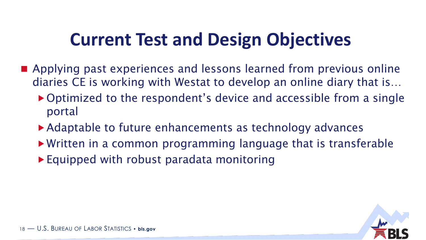## **Current Test and Design Objectives**

- **E** Applying past experiences and lessons learned from previous online diaries CE is working with Westat to develop an online diary that is…
	- ▶ Optimized to the respondent's device and accessible from a single portal
	- ▶ Adaptable to future enhancements as technology advances
	- Written in a common programming language that is transferable
	- ▶ Equipped with robust paradata monitoring

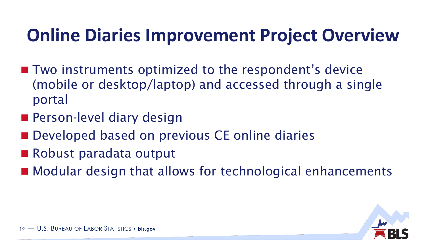## **Online Diaries Improvement Project Overview**

- Two instruments optimized to the respondent's device (mobile or desktop/laptop) and accessed through a single portal
- **Person-level diary design**
- **Developed based on previous CE online diaries**
- Robust paradata output
- Modular design that allows for technological enhancements

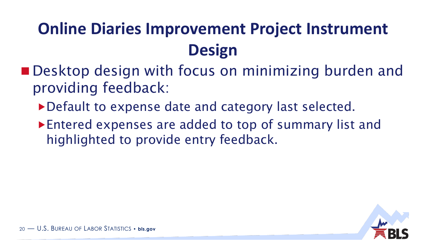## **Online Diaries Improvement Project Instrument Design**

- **Desktop design with focus on minimizing burden and** providing feedback:
	- Default to expense date and category last selected.
	- Entered expenses are added to top of summary list and highlighted to provide entry feedback.

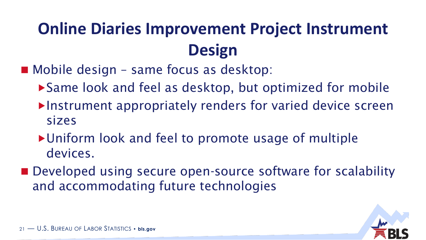## **Online Diaries Improvement Project Instrument Design**

■ Mobile design – same focus as desktop:

- ▶ Same look and feel as desktop, but optimized for mobile
- ▶Instrument appropriately renders for varied device screen sizes
- ▶ Uniform look and feel to promote usage of multiple devices.
- Developed using secure open-source software for scalability and accommodating future technologies

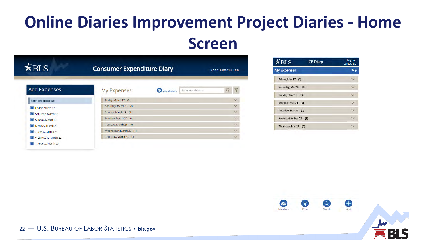#### **Online Diaries Improvement Project Diaries - Home Screen**

| $\widetilde{*}$ BLS                  | <b>Consumer Expenditure Diary</b> |                          |                   | Log out Contact us Help |                         |
|--------------------------------------|-----------------------------------|--------------------------|-------------------|-------------------------|-------------------------|
| <b>Add Expenses</b>                  | <b>My Expenses</b>                | B<br><b>View Members</b> | Enter search term | Q                       | $\overline{\mathbb{Y}}$ |
| Select date of expense:              | Friday, March 17 (0)              |                          |                   |                         | $\vee$                  |
| Υï<br>Friday, March 17               | Saturday, March 18 (0)            |                          |                   |                         | $\checkmark$            |
| $\mathbf{r}_2$<br>Saturday, March 18 | Sunday, March 19 (0)              |                          |                   |                         | $\vee$                  |
| ľз<br>Sunday, March 19               | Monday, March 20 (0)              |                          |                   |                         | $\vee$                  |
| $\frac{1}{4}$<br>Monday, March 20    | Tuesday, March 21 (0)             |                          |                   |                         | $\vee$                  |
| is.<br>Tuesday, March 21             | Wednesday, March 22 (1)           |                          |                   |                         | $\vee$                  |
| 61<br>Wednesday, March 22            | Thursday, March 23 (0)            |                          |                   |                         | $\checkmark$            |
| Thursday, March 23                   |                                   |                          |                   |                         |                         |

| $K$ BLS               | <b>CE Diary</b> | Log out<br><b>Contact us</b> |
|-----------------------|-----------------|------------------------------|
| <b>My Expenses</b>    |                 | Help                         |
| Friday, Mar 17 (0)    |                 |                              |
| Saturday, Mar 18 (0)  |                 | U                            |
| Sunday, Mar 19 (0)    |                 |                              |
| Monday, Mar 20        | (0)             |                              |
| Tuesday, Mar 21 (0)   |                 |                              |
| Wednesday, Mar 22 (1) |                 |                              |
| Thursday, Mar 23 (0)  |                 |                              |

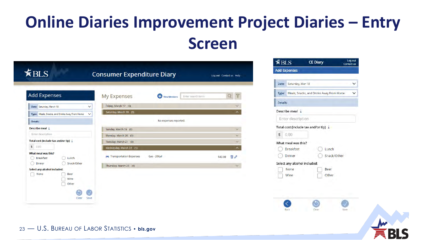### **Online Diaries Improvement Project Diaries – Entry Screen**

| <b>Add Expenses</b>                                            | <b>My Expenses</b>      | 25<br><b>View Members</b> | Enter search term |         |                     |
|----------------------------------------------------------------|-------------------------|---------------------------|-------------------|---------|---------------------|
| Date: Saturday, March 18<br>$\checkmark$                       | Friday, March 17 (0)    |                           |                   |         |                     |
| Type: Meals, Snacks, and Drinks Away From Home<br>$\checkmark$ | Saturday, March 18 (0)  |                           |                   |         | $\wedge$            |
| <b>Details:</b>                                                |                         | No expenses reported.     |                   |         |                     |
| Describe meal i                                                | Sunday, March 19 (0)    |                           |                   |         | $\checkmark$        |
| Enter description                                              | Monday, March 20 (0)    |                           |                   |         | $\checkmark$        |
| Total cost (include tax and/or tip) i                          | Tuesday, March 21 (0)   |                           |                   |         | $\checkmark$        |
| $\sqrt{2}$<br>0.00                                             | Wednesday, March 22 (1) |                           |                   |         | $\hat{\phantom{1}}$ |
| What meal was this?<br><b>Breakfast</b><br>Lunch               | Transportation Expenses | Gas - 20Gal               |                   | \$43.98 | 扁♪                  |
| Snack/Other<br><b>Dinner</b>                                   | Thursday, March 23 (0)  |                           |                   |         |                     |
| Select any alcohol included:<br>None<br>Beer<br>Wine<br>Other  |                         |                           |                   |         |                     |

| $\sharp$ BLS |                              | <b>CE Diary</b>                          | Log out<br><b>Contact us</b> |
|--------------|------------------------------|------------------------------------------|------------------------------|
|              | <b>Add Expenses</b>          |                                          |                              |
| Date:        | Saturday, Mar 18             |                                          |                              |
| Type:        |                              | Meals, Snacks, and Drinks Away From Home |                              |
| Details:     |                              |                                          |                              |
|              | Describe meal i              |                                          |                              |
|              | Enter description.           |                                          |                              |
|              |                              | Total cost (include tax and/or tip) 1    |                              |
| \$           | 0.00                         |                                          |                              |
|              | What meal was this?          |                                          |                              |
|              | <b>Breakfast</b>             | Lunch                                    |                              |
|              | Dinner                       | Snack/Other                              |                              |
|              | Select any alcohol included: |                                          |                              |
|              | None                         | Beer                                     |                              |
|              | Wine                         | Other                                    |                              |



#### 23 — U.S. BUREAU OF LABOR STATISTICS • **bls.gov**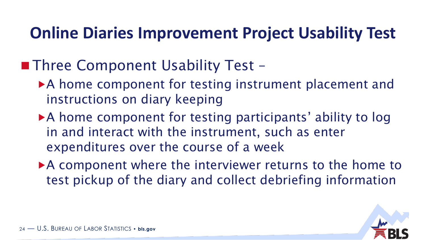#### **Online Diaries Improvement Project Usability Test**

#### ■ Three Component Usability Test –

- ▶ A home component for testing instrument placement and instructions on diary keeping
- ▶ A home component for testing participants' ability to log in and interact with the instrument, such as enter expenditures over the course of a week
- ▶ A component where the interviewer returns to the home to test pickup of the diary and collect debriefing information

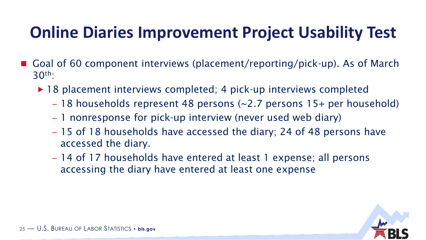## **Online Diaries Improvement Project Usability Test**

- Goal of 60 component interviews (placement/reporting/pick-up). As of March 30th:
	- ▶ 18 placement interviews completed; 4 pick-up interviews completed
		- 18 households represent 48 persons (~2.7 persons 15+ per household)
		- 1 nonresponse for pick-up interview (never used web diary)
		- 15 of 18 households have accessed the diary; 24 of 48 persons have accessed the diary.
		- 14 of 17 households have entered at least 1 expense; all persons accessing the diary have entered at least one expense

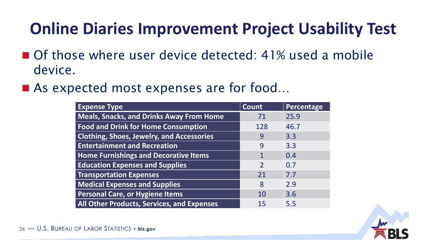### **Online Diaries Improvement Project Usability Test**

- Of those where user device detected: 41% used a mobile device.
- As expected most expenses are for food...

| <b>Expense Type</b>                               | Count         | Percentage |
|---------------------------------------------------|---------------|------------|
| <b>Meals, Snacks, and Drinks Away From Home</b>   | 71            | 25.9       |
| <b>Food and Drink for Home Consumption</b>        | 128           | 46.7       |
| <b>Clothing, Shoes, Jewelry, and Accessories</b>  | 9             | 3.3        |
| <b>Entertainment and Recreation</b>               | 9             | 3.3        |
| <b>Home Furnishings and Decorative Items</b>      | 1             | 0.4        |
| <b>Education Expenses and Supplies</b>            | $\mathcal{P}$ | 0.7        |
| <b>Transportation Expenses</b>                    | 21            | 7.7        |
| <b>Medical Expenses and Supplies</b>              | 8             | 2.9        |
| <b>Personal Care, or Hygiene Items</b>            | 10            | 3.6        |
| <b>All Other Products, Services, and Expenses</b> | 15            | 5.5        |

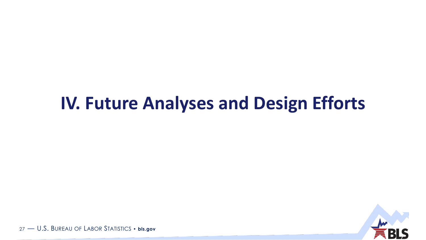#### **IV. Future Analyses and Design Efforts**



27 - U.S. BUREAU OF LABOR STATISTICS . bls.gov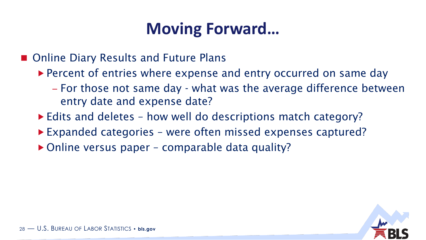#### **Moving Forward…**

■ Online Diary Results and Future Plans

- ▶ Percent of entries where expense and entry occurred on same day
	- For those not same day what was the average difference between entry date and expense date?
- ► Edits and deletes how well do descriptions match category?
- ▶ Expanded categories were often missed expenses captured?
- ▶ Online versus paper comparable data quality?